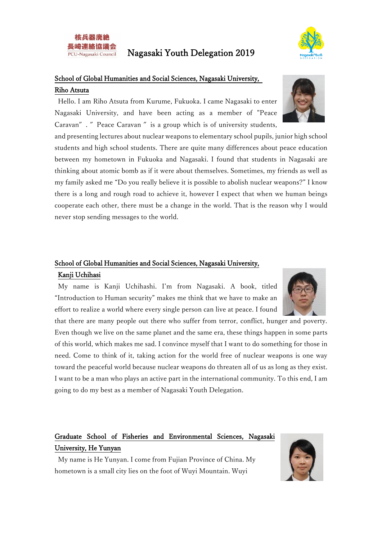



## School of Global Humanities and Social Sciences, Nagasaki University, Riho Atsuta

Hello. I am Riho Atsuta from Kurume, Fukuoka. I came Nagasaki to enter Nagasaki University, and have been acting as a member of "Peace Caravan". "Peace Caravan" is a group which is of university students,

and presenting lectures about nuclear weapons to elementary school pupils, junior high school students and high school students. There are quite many differences about peace education between my hometown in Fukuoka and Nagasaki. I found that students in Nagasaki are thinking about atomic bomb as if it were about themselves. Sometimes, my friends as well as my family asked me "Do you really believe it is possible to abolish nuclear weapons?" I know there is a long and rough road to achieve it, however I expect that when we human beings cooperate each other, there must be a change in the world. That is the reason why I would never stop sending messages to the world.

#### School of Global Humanities and Social Sciences, Nagasaki University, Kanji Uchihasi

My name is Kanji Uchihashi. I'm from Nagasaki. A book, titled "Introduction to Human security" makes me think that we have to make an effort to realize a world where every single person can live at peace. I found

that there are many people out there who suffer from terror, conflict, hunger and poverty. Even though we live on the same planet and the same era, these things happen in some parts of this world, which makes me sad. I convince myself that I want to do something for those in need. Come to think of it, taking action for the world free of nuclear weapons is one way toward the peaceful world because nuclear weapons do threaten all of us as long as they exist. I want to be a man who plays an active part in the international community. To this end, I am going to do my best as a member of Nagasaki Youth Delegation.

# Graduate School of Fisheries and Environmental Sciences, Nagasaki University, He Yunyan

My name is He Yunyan. I come from Fujian Province of China. My hometown is a small city lies on the foot of Wuyi Mountain. Wuyi



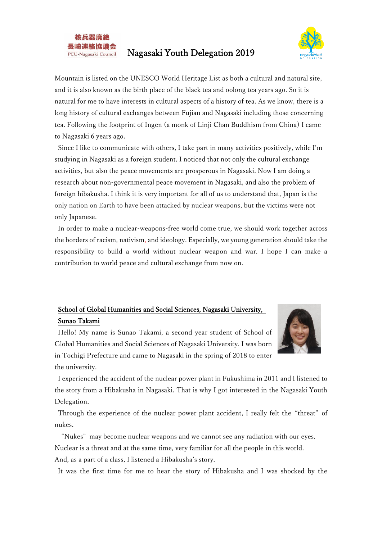



Mountain is listed on the UNESCO World Heritage List as both a cultural and natural site, and it is also known as the birth place of the black tea and oolong tea years ago. So it is natural for me to have interests in cultural aspects of a history of tea. As we know, there is a long history of cultural exchanges between Fujian and Nagasaki including those concerning tea. Following the footprint of Ingen (a monk of Linji Chan Buddhism from China) I came to Nagasaki 6 years ago.

Since I like to communicate with others, I take part in many activities positively, while I'm studying in Nagasaki as a foreign student. I noticed that not only the cultural exchange activities, but also the peace movements are prosperous in Nagasaki. Now I am doing a research about non-governmental peace movement in Nagasaki, and also the problem of foreign hibakusha. I think it is very important for all of us to understand that, Japan is the only nation on Earth to have been attacked by nuclear weapons, but the victims were not only Japanese.

In order to make a nuclear-weapons-free world come true, we should work together across the borders of racism, nativism, and ideology. Especially, we young generation should take the responsibility to build a world without nuclear weapon and war. I hope I can make a contribution to world peace and cultural exchange from now on.

### School of Global Humanities and Social Sciences, Nagasaki University, Sunao Takami



Hello! My name is Sunao Takami, a second year student of School of Global Humanities and Social Sciences of Nagasaki University. I was born in Tochigi Prefecture and came to Nagasaki in the spring of 2018 to enter the university.

I experienced the accident of the nuclear power plant in Fukushima in 2011 and I listened to the story from a Hibakusha in Nagasaki. That is why I got interested in the Nagasaki Youth Delegation.

Through the experience of the nuclear power plant accident, I really felt the "threat" of nukes.

"Nukes" may become nuclear weapons and we cannot see any radiation with our eyes. Nuclear is a threat and at the same time, very familiar for all the people in this world. And, as a part of a class, I listened a Hibakusha's story.

It was the first time for me to hear the story of Hibakusha and I was shocked by the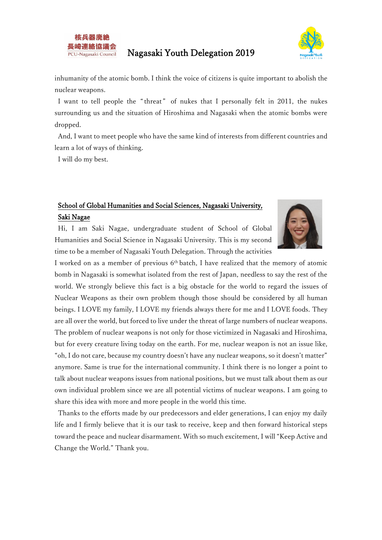



inhumanity of the atomic bomb. I think the voice of citizens is quite important to abolish the nuclear weapons.

I want to tell people the "threat" of nukes that I personally felt in 2011, the nukes surrounding us and the situation of Hiroshima and Nagasaki when the atomic bombs were dropped.

And, I want to meet people who have the same kind of interests from different countries and learn a lot of ways of thinking.

I will do my best.

# School of Global Humanities and Social Sciences, Nagasaki University, Saki Nagae

Hi, I am Saki Nagae, undergraduate student of School of Global Humanities and Social Science in Nagasaki University. This is my second time to be a member of Nagasaki Youth Delegation. Through the activities



I worked on as a member of previous 6<sup>th</sup> batch, I have realized that the memory of atomic bomb in Nagasaki is somewhat isolated from the rest of Japan, needless to say the rest of the world. We strongly believe this fact is a big obstacle for the world to regard the issues of Nuclear Weapons as their own problem though those should be considered by all human beings. I LOVE my family, I LOVE my friends always there for me and I LOVE foods. They are all over the world, but forced to live under the threat of large numbers of nuclear weapons. The problem of nuclear weapons is not only for those victimized in Nagasaki and Hiroshima, but for every creature living today on the earth. For me, nuclear weapon is not an issue like, "oh, I do not care, because my country doesn't have any nuclear weapons, so it doesn't matter" anymore. Same is true for the international community. I think there is no longer a point to talk about nuclear weapons issues from national positions, but we must talk about them as our own individual problem since we are all potential victims of nuclear weapons. I am going to share this idea with more and more people in the world this time.

Thanks to the efforts made by our predecessors and elder generations, I can enjoy my daily life and I firmly believe that it is our task to receive, keep and then forward historical steps toward the peace and nuclear disarmament. With so much excitement, I will "Keep Active and Change the World." Thank you.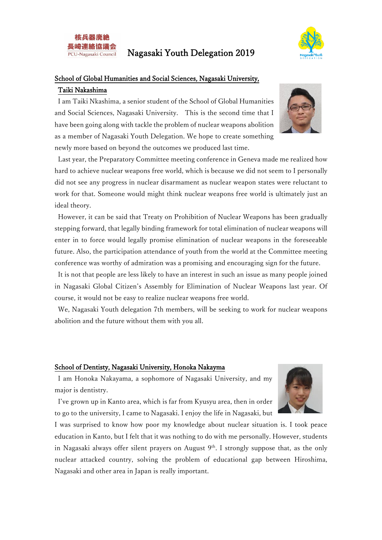



#### School of Global Humanities and Social Sciences, Nagasaki University, Taiki Nakashima

I am Taiki Nkashima, a senior student of the School of Global Humanities and Social Sciences, Nagasaki University. This is the second time that I have been going along with tackle the problem of nuclear weapons abolition as a member of Nagasaki Youth Delegation. We hope to create something newly more based on beyond the outcomes we produced last time.



Last year, the Preparatory Committee meeting conference in Geneva made me realized how hard to achieve nuclear weapons free world, which is because we did not seem to I personally did not see any progress in nuclear disarmament as nuclear weapon states were reluctant to work for that. Someone would might think nuclear weapons free world is ultimately just an ideal theory.

However, it can be said that Treaty on Prohibition of Nuclear Weapons has been gradually stepping forward, that legally binding framework for total elimination of nuclear weapons will enter in to force would legally promise elimination of nuclear weapons in the foreseeable future. Also, the participation attendance of youth from the world at the Committee meeting conference was worthy of admiration was a promising and encouraging sign for the future.

It is not that people are less likely to have an interest in such an issue as many people joined in Nagasaki Global Citizen's Assembly for Elimination of Nuclear Weapons last year. Of course, it would not be easy to realize nuclear weapons free world.

We, Nagasaki Youth delegation 7th members, will be seeking to work for nuclear weapons abolition and the future without them with you all.

#### School of Dentisty, Nagasaki University, Honoka Nakayma

I am Honoka Nakayama, a sophomore of Nagasaki University, and my major is dentistry.



I've grown up in Kanto area, which is far from Kyusyu area, then in order to go to the university, I came to Nagasaki. I enjoy the life in Nagasaki, but

I was surprised to know how poor my knowledge about nuclear situation is. I took peace education in Kanto, but I felt that it was nothing to do with me personally. However, students in Nagasaki always offer silent prayers on August  $9<sup>th</sup>$ . I strongly suppose that, as the only nuclear attacked country, solving the problem of educational gap between Hiroshima, Nagasaki and other area in Japan is really important.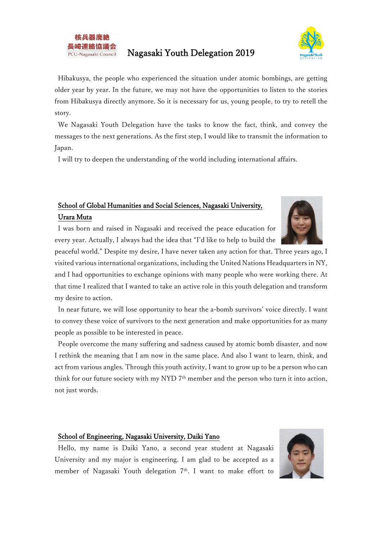



Hibakusya, the people who experienced the situation under atomic bombings, are getting older year by year. In the future, we may not have the opportunities to listen to the stories from Hibakusya directly anymore. So it is necessary for us, young people, to try to retell the story.

We Nagasaki Youth Delegation have the tasks to know the fact, think, and convey the messages to the next generations. As the first step, I would like to transmit the information to Japan.

I will try to deepen the understanding of the world including international affairs.

## School of Global Humanities and Social Sciences, Nagasaki University, Urara Muta

I was born and raised in Nagasaki and received the peace education for every year. Actually, I always had the idea that "I'd like to help to build the

peaceful world." Despite my desire, I have never taken any action for that. Three years ago, I visited various international organizations, including the United Nations Headquarters in NY, and I had opportunities to exchange opinions with many people who were working there. At that time I realized that I wanted to take an active role in this youth delegation and transform my desire to action.

In near future, we will lose opportunity to hear the a-bomb survivors' voice directly. I want to convey these voice of survivors to the next generation and make opportunities for as many people as possible to be interested in peace.

People overcome the many suffering and sadness caused by atomic bomb disaster, and now I rethink the meaning that I am now in the same place. And also I want to learn, think, and act from various angles. Through this youth activity, I want to grow up to be a person who can think for our future society with my NYD 7<sup>th</sup> member and the person who turn it into action, not just words.

#### School of Engineering, Nagasaki University, Daiki Yano

Hello, my name is Daiki Yano, a second year student at Nagasaki University and my major is engineering. I am glad to be accepted as a member of Nagasaki Youth delegation 7<sup>th</sup>. I want to make effort to